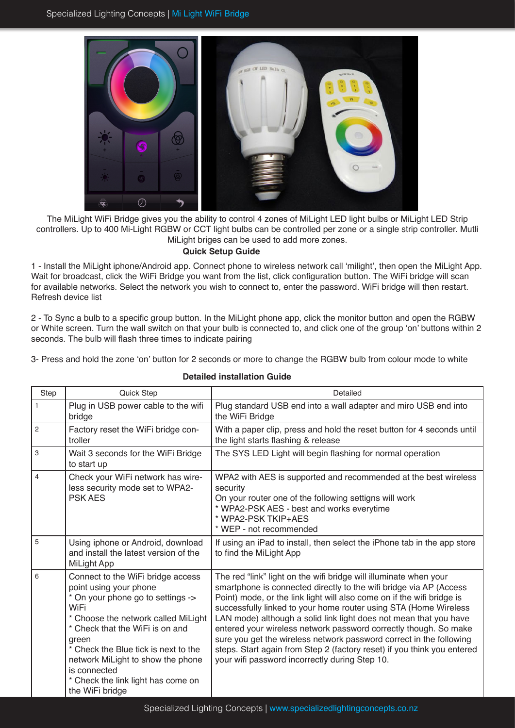

The MiLight WiFi Bridge gives you the ability to control 4 zones of MiLight LED light bulbs or MiLight LED Strip controllers. Up to 400 Mi-Light RGBW or CCT light bulbs can be controlled per zone or a single strip controller. Mutli MiLight briges can be used to add more zones.

## **Quick Setup Guide**

1 - Install the MiLight iphone/Android app. Connect phone to wireless network call 'milight', then open the MiLight App. Wait for broadcast, click the WiFi Bridge you want from the list, click configuration button. The WiFi bridge will scan for available networks. Select the network you wish to connect to, enter the password. WiFi bridge will then restart. Refresh device list

2 - To Sync a bulb to a specific group button. In the MiLight phone app, click the monitor button and open the RGBW or White screen. Turn the wall switch on that your bulb is connected to, and click one of the group 'on' buttons within 2 seconds. The bulb will flash three times to indicate pairing

3- Press and hold the zone 'on' button for 2 seconds or more to change the RGBW bulb from colour mode to white

| Step           | Quick Step                                                                                                                                                                                                                                                                                                                                        | Detailed                                                                                                                                                                                                                                                                                                                                                                                                                                                                                                                                                                                                                           |
|----------------|---------------------------------------------------------------------------------------------------------------------------------------------------------------------------------------------------------------------------------------------------------------------------------------------------------------------------------------------------|------------------------------------------------------------------------------------------------------------------------------------------------------------------------------------------------------------------------------------------------------------------------------------------------------------------------------------------------------------------------------------------------------------------------------------------------------------------------------------------------------------------------------------------------------------------------------------------------------------------------------------|
| $\mathbf{1}$   | Plug in USB power cable to the wifi<br>bridge                                                                                                                                                                                                                                                                                                     | Plug standard USB end into a wall adapter and miro USB end into<br>the WiFi Bridge                                                                                                                                                                                                                                                                                                                                                                                                                                                                                                                                                 |
| $\overline{c}$ | Factory reset the WiFi bridge con-<br>troller                                                                                                                                                                                                                                                                                                     | With a paper clip, press and hold the reset button for 4 seconds until<br>the light starts flashing & release                                                                                                                                                                                                                                                                                                                                                                                                                                                                                                                      |
| 3              | Wait 3 seconds for the WiFi Bridge<br>to start up                                                                                                                                                                                                                                                                                                 | The SYS LED Light will begin flashing for normal operation                                                                                                                                                                                                                                                                                                                                                                                                                                                                                                                                                                         |
| $\overline{4}$ | Check your WiFi network has wire-<br>less security mode set to WPA2-<br><b>PSK AES</b>                                                                                                                                                                                                                                                            | WPA2 with AES is supported and recommended at the best wireless<br>security<br>On your router one of the following settigns will work<br>* WPA2-PSK AES - best and works everytime<br>* WPA2-PSK TKIP+AES<br>* WEP - not recommended                                                                                                                                                                                                                                                                                                                                                                                               |
| 5              | Using iphone or Android, download<br>and install the latest version of the<br>MiLight App                                                                                                                                                                                                                                                         | If using an iPad to install, then select the iPhone tab in the app store<br>to find the MiLight App                                                                                                                                                                                                                                                                                                                                                                                                                                                                                                                                |
| 6              | Connect to the WiFi bridge access<br>point using your phone<br>* On your phone go to settings -><br>WiFi<br>* Choose the network called MiLight<br>* Check that the WiFi is on and<br>green<br>* Check the Blue tick is next to the<br>network MiLight to show the phone<br>is connected<br>* Check the link light has come on<br>the WiFi bridge | The red "link" light on the wifi bridge will illuminate when your<br>smartphone is connected directly to the wifi bridge via AP (Access<br>Point) mode, or the link light will also come on if the wifi bridge is<br>successfully linked to your home router using STA (Home Wireless<br>LAN mode) although a solid link light does not mean that you have<br>entered your wireless network password correctly though. So make<br>sure you get the wireless network password correct in the following<br>steps. Start again from Step 2 (factory reset) if you think you entered<br>your wifi password incorrectly during Step 10. |

## **Detailed installation Guide**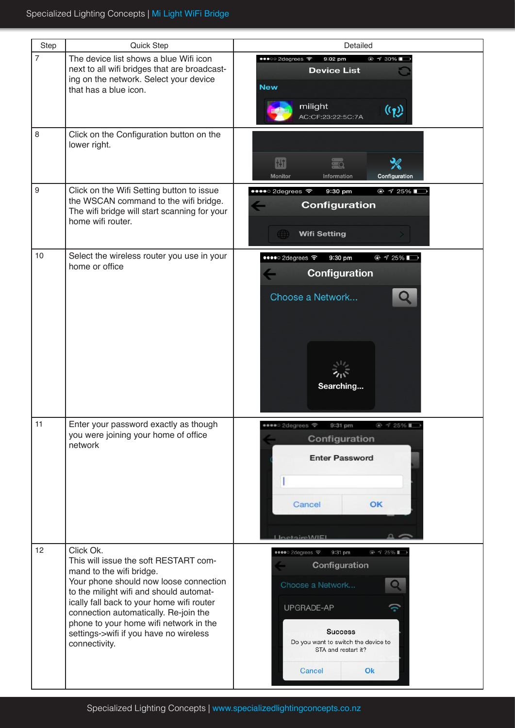